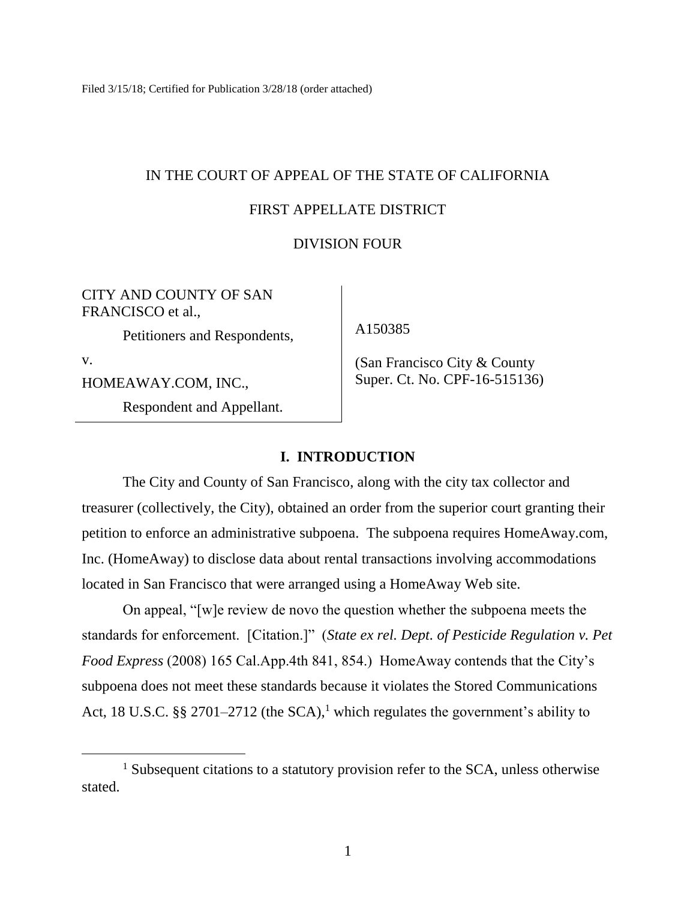Filed 3/15/18; Certified for Publication 3/28/18 (order attached)

# IN THE COURT OF APPEAL OF THE STATE OF CALIFORNIA

# FIRST APPELLATE DISTRICT

# DIVISION FOUR

CITY AND COUNTY OF SAN FRANCISCO et al.,

Petitioners and Respondents,

v.

 $\overline{a}$ 

HOMEAWAY.COM, INC.,

Respondent and Appellant.

A150385

 (San Francisco City & County Super. Ct. No. CPF-16-515136)

## **I. INTRODUCTION**

The City and County of San Francisco, along with the city tax collector and treasurer (collectively, the City), obtained an order from the superior court granting their petition to enforce an administrative subpoena. The subpoena requires HomeAway.com, Inc. (HomeAway) to disclose data about rental transactions involving accommodations located in San Francisco that were arranged using a HomeAway Web site.

On appeal, "[w]e review de novo the question whether the subpoena meets the standards for enforcement. [Citation.]" (*State ex rel. Dept. of Pesticide Regulation v. Pet Food Express* (2008) 165 Cal.App.4th 841, 854.) HomeAway contends that the City's subpoena does not meet these standards because it violates the Stored Communications Act, 18 U.S.C. §§ 2701–2712 (the SCA),<sup>1</sup> which regulates the government's ability to

<sup>&</sup>lt;sup>1</sup> Subsequent citations to a statutory provision refer to the SCA, unless otherwise stated.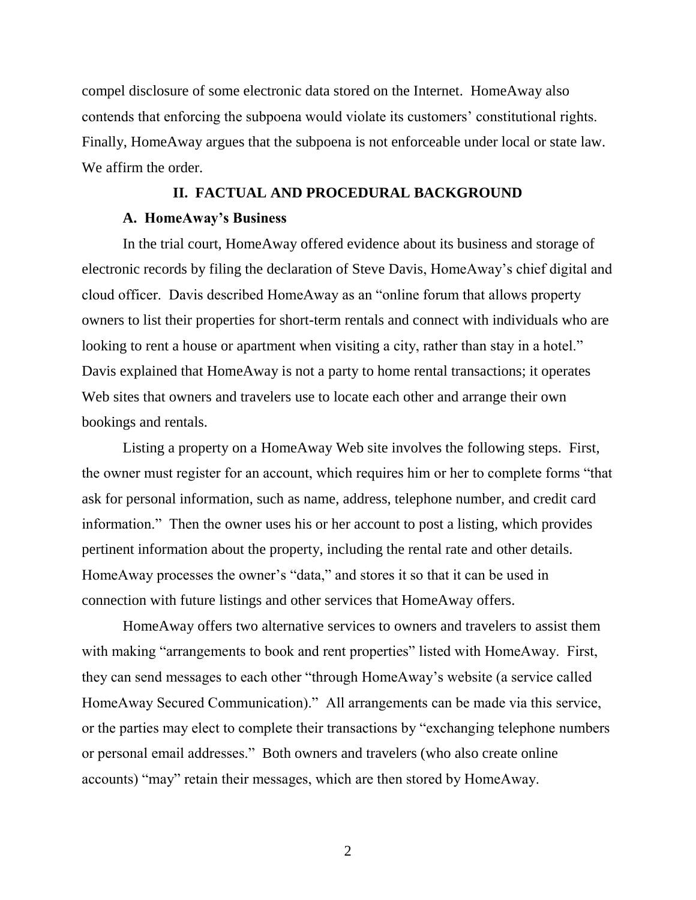compel disclosure of some electronic data stored on the Internet. HomeAway also contends that enforcing the subpoena would violate its customers' constitutional rights. Finally, HomeAway argues that the subpoena is not enforceable under local or state law. We affirm the order.

### **II. FACTUAL AND PROCEDURAL BACKGROUND**

### **A. HomeAway's Business**

In the trial court, HomeAway offered evidence about its business and storage of electronic records by filing the declaration of Steve Davis, HomeAway's chief digital and cloud officer. Davis described HomeAway as an "online forum that allows property owners to list their properties for short-term rentals and connect with individuals who are looking to rent a house or apartment when visiting a city, rather than stay in a hotel." Davis explained that HomeAway is not a party to home rental transactions; it operates Web sites that owners and travelers use to locate each other and arrange their own bookings and rentals.

Listing a property on a HomeAway Web site involves the following steps. First, the owner must register for an account, which requires him or her to complete forms "that ask for personal information, such as name, address, telephone number, and credit card information." Then the owner uses his or her account to post a listing, which provides pertinent information about the property, including the rental rate and other details. HomeAway processes the owner's "data," and stores it so that it can be used in connection with future listings and other services that HomeAway offers.

HomeAway offers two alternative services to owners and travelers to assist them with making "arrangements to book and rent properties" listed with HomeAway. First, they can send messages to each other "through HomeAway's website (a service called HomeAway Secured Communication)." All arrangements can be made via this service, or the parties may elect to complete their transactions by "exchanging telephone numbers or personal email addresses." Both owners and travelers (who also create online accounts) "may" retain their messages, which are then stored by HomeAway.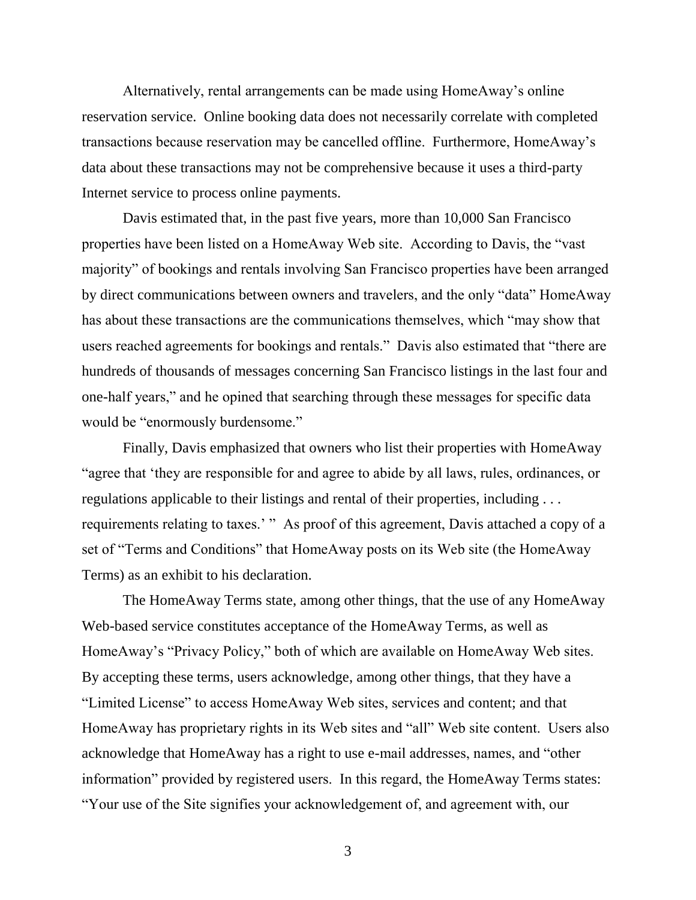Alternatively, rental arrangements can be made using HomeAway's online reservation service. Online booking data does not necessarily correlate with completed transactions because reservation may be cancelled offline. Furthermore, HomeAway's data about these transactions may not be comprehensive because it uses a third-party Internet service to process online payments.

Davis estimated that, in the past five years, more than 10,000 San Francisco properties have been listed on a HomeAway Web site. According to Davis, the "vast majority" of bookings and rentals involving San Francisco properties have been arranged by direct communications between owners and travelers, and the only "data" HomeAway has about these transactions are the communications themselves, which "may show that users reached agreements for bookings and rentals." Davis also estimated that "there are hundreds of thousands of messages concerning San Francisco listings in the last four and one-half years," and he opined that searching through these messages for specific data would be "enormously burdensome."

Finally, Davis emphasized that owners who list their properties with HomeAway "agree that 'they are responsible for and agree to abide by all laws, rules, ordinances, or regulations applicable to their listings and rental of their properties, including . . . requirements relating to taxes.' " As proof of this agreement, Davis attached a copy of a set of "Terms and Conditions" that HomeAway posts on its Web site (the HomeAway Terms) as an exhibit to his declaration.

The HomeAway Terms state, among other things, that the use of any HomeAway Web-based service constitutes acceptance of the HomeAway Terms, as well as HomeAway's "Privacy Policy," both of which are available on HomeAway Web sites. By accepting these terms, users acknowledge, among other things, that they have a "Limited License" to access HomeAway Web sites, services and content; and that HomeAway has proprietary rights in its Web sites and "all" Web site content. Users also acknowledge that HomeAway has a right to use e-mail addresses, names, and "other information" provided by registered users. In this regard, the HomeAway Terms states: "Your use of the Site signifies your acknowledgement of, and agreement with, our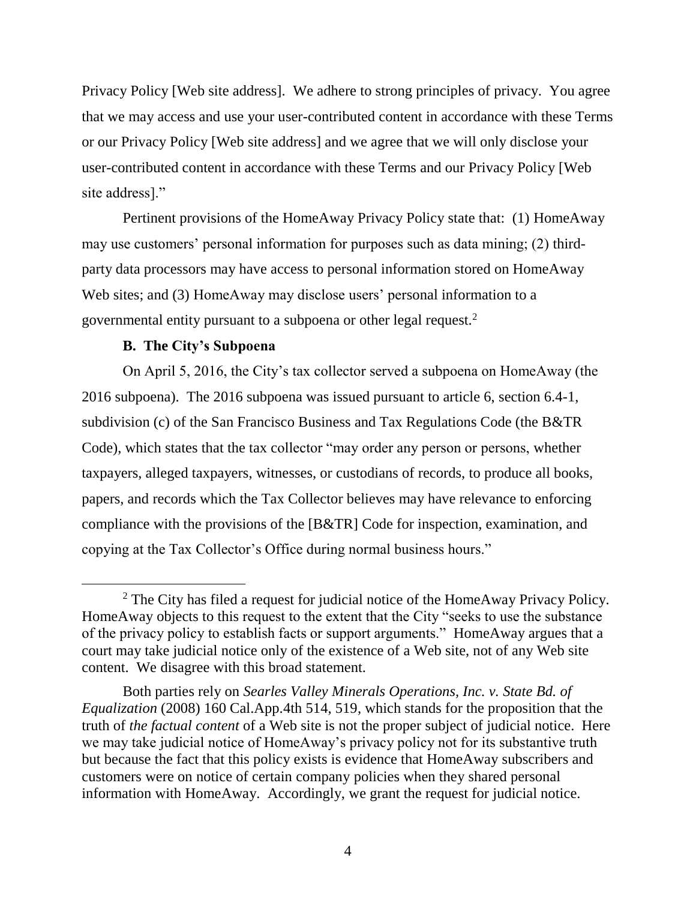Privacy Policy [Web site address]. We adhere to strong principles of privacy. You agree that we may access and use your user-contributed content in accordance with these Terms or our Privacy Policy [Web site address] and we agree that we will only disclose your user-contributed content in accordance with these Terms and our Privacy Policy [Web site address]."

Pertinent provisions of the HomeAway Privacy Policy state that: (1) HomeAway may use customers' personal information for purposes such as data mining; (2) thirdparty data processors may have access to personal information stored on HomeAway Web sites; and (3) HomeAway may disclose users' personal information to a governmental entity pursuant to a subpoena or other legal request.<sup>2</sup>

# **B. The City's Subpoena**

 $\overline{a}$ 

On April 5, 2016, the City's tax collector served a subpoena on HomeAway (the 2016 subpoena). The 2016 subpoena was issued pursuant to article 6, section 6.4-1, subdivision (c) of the San Francisco Business and Tax Regulations Code (the B&TR Code), which states that the tax collector "may order any person or persons, whether taxpayers, alleged taxpayers, witnesses, or custodians of records, to produce all books, papers, and records which the Tax Collector believes may have relevance to enforcing compliance with the provisions of the [B&TR] Code for inspection, examination, and copying at the Tax Collector's Office during normal business hours."

<sup>&</sup>lt;sup>2</sup> The City has filed a request for judicial notice of the HomeAway Privacy Policy. HomeAway objects to this request to the extent that the City "seeks to use the substance of the privacy policy to establish facts or support arguments." HomeAway argues that a court may take judicial notice only of the existence of a Web site, not of any Web site content. We disagree with this broad statement.

Both parties rely on *Searles Valley Minerals Operations, Inc. v. State Bd. of Equalization* (2008) 160 Cal.App.4th 514, 519, which stands for the proposition that the truth of *the factual content* of a Web site is not the proper subject of judicial notice. Here we may take judicial notice of HomeAway's privacy policy not for its substantive truth but because the fact that this policy exists is evidence that HomeAway subscribers and customers were on notice of certain company policies when they shared personal information with HomeAway. Accordingly, we grant the request for judicial notice.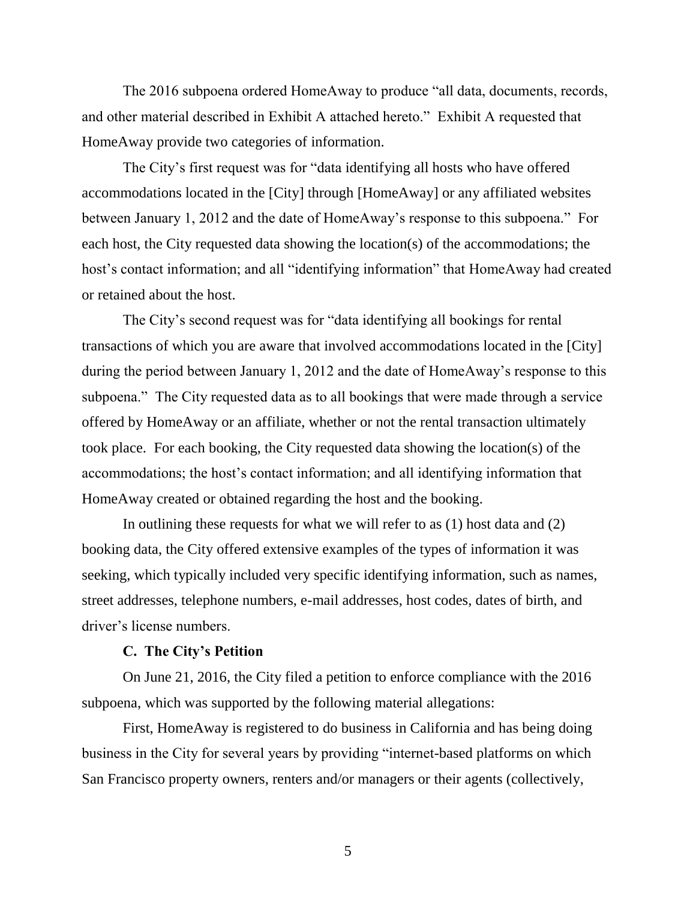The 2016 subpoena ordered HomeAway to produce "all data, documents, records, and other material described in Exhibit A attached hereto." Exhibit A requested that HomeAway provide two categories of information.

The City's first request was for "data identifying all hosts who have offered accommodations located in the [City] through [HomeAway] or any affiliated websites between January 1, 2012 and the date of HomeAway's response to this subpoena." For each host, the City requested data showing the location(s) of the accommodations; the host's contact information; and all "identifying information" that HomeAway had created or retained about the host.

The City's second request was for "data identifying all bookings for rental transactions of which you are aware that involved accommodations located in the [City] during the period between January 1, 2012 and the date of HomeAway's response to this subpoena." The City requested data as to all bookings that were made through a service offered by HomeAway or an affiliate, whether or not the rental transaction ultimately took place. For each booking, the City requested data showing the location(s) of the accommodations; the host's contact information; and all identifying information that HomeAway created or obtained regarding the host and the booking.

In outlining these requests for what we will refer to as (1) host data and (2) booking data, the City offered extensive examples of the types of information it was seeking, which typically included very specific identifying information, such as names, street addresses, telephone numbers, e-mail addresses, host codes, dates of birth, and driver's license numbers.

### **C. The City's Petition**

On June 21, 2016, the City filed a petition to enforce compliance with the 2016 subpoena, which was supported by the following material allegations:

First, HomeAway is registered to do business in California and has being doing business in the City for several years by providing "internet-based platforms on which San Francisco property owners, renters and/or managers or their agents (collectively,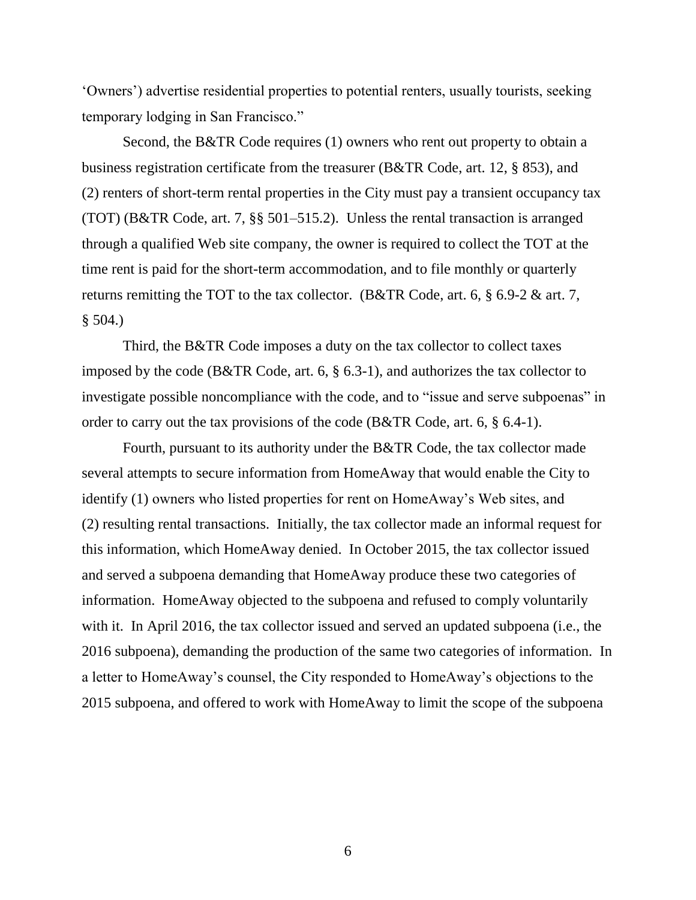'Owners') advertise residential properties to potential renters, usually tourists, seeking temporary lodging in San Francisco."

Second, the B&TR Code requires (1) owners who rent out property to obtain a business registration certificate from the treasurer (B&TR Code, art. 12, § 853), and (2) renters of short-term rental properties in the City must pay a transient occupancy tax (TOT) (B&TR Code, art. 7, §§ 501–515.2). Unless the rental transaction is arranged through a qualified Web site company, the owner is required to collect the TOT at the time rent is paid for the short-term accommodation, and to file monthly or quarterly returns remitting the TOT to the tax collector. (B&TR Code, art. 6, § 6.9-2 & art. 7,  $$504.$ )

Third, the B&TR Code imposes a duty on the tax collector to collect taxes imposed by the code (B&TR Code, art. 6, § 6.3-1), and authorizes the tax collector to investigate possible noncompliance with the code, and to "issue and serve subpoenas" in order to carry out the tax provisions of the code (B&TR Code, art. 6, § 6.4-1).

Fourth, pursuant to its authority under the B&TR Code, the tax collector made several attempts to secure information from HomeAway that would enable the City to identify (1) owners who listed properties for rent on HomeAway's Web sites, and (2) resulting rental transactions. Initially, the tax collector made an informal request for this information, which HomeAway denied. In October 2015, the tax collector issued and served a subpoena demanding that HomeAway produce these two categories of information. HomeAway objected to the subpoena and refused to comply voluntarily with it. In April 2016, the tax collector issued and served an updated subpoena (i.e., the 2016 subpoena), demanding the production of the same two categories of information. In a letter to HomeAway's counsel, the City responded to HomeAway's objections to the 2015 subpoena, and offered to work with HomeAway to limit the scope of the subpoena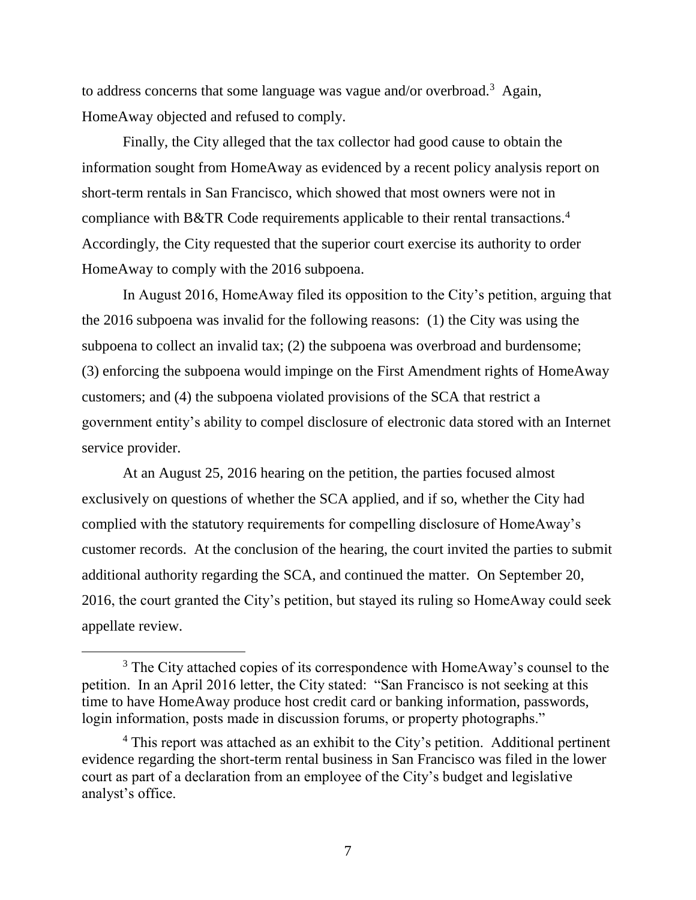to address concerns that some language was vague and/or overbroad.<sup>3</sup> Again, HomeAway objected and refused to comply.

Finally, the City alleged that the tax collector had good cause to obtain the information sought from HomeAway as evidenced by a recent policy analysis report on short-term rentals in San Francisco, which showed that most owners were not in compliance with B&TR Code requirements applicable to their rental transactions.<sup>4</sup> Accordingly, the City requested that the superior court exercise its authority to order HomeAway to comply with the 2016 subpoena.

In August 2016, HomeAway filed its opposition to the City's petition, arguing that the 2016 subpoena was invalid for the following reasons: (1) the City was using the subpoena to collect an invalid tax; (2) the subpoena was overbroad and burdensome; (3) enforcing the subpoena would impinge on the First Amendment rights of HomeAway customers; and (4) the subpoena violated provisions of the SCA that restrict a government entity's ability to compel disclosure of electronic data stored with an Internet service provider.

At an August 25, 2016 hearing on the petition, the parties focused almost exclusively on questions of whether the SCA applied, and if so, whether the City had complied with the statutory requirements for compelling disclosure of HomeAway's customer records. At the conclusion of the hearing, the court invited the parties to submit additional authority regarding the SCA, and continued the matter. On September 20, 2016, the court granted the City's petition, but stayed its ruling so HomeAway could seek appellate review.

 $\overline{a}$ 

<sup>&</sup>lt;sup>3</sup> The City attached copies of its correspondence with HomeAway's counsel to the petition. In an April 2016 letter, the City stated: "San Francisco is not seeking at this time to have HomeAway produce host credit card or banking information, passwords, login information, posts made in discussion forums, or property photographs."

<sup>&</sup>lt;sup>4</sup> This report was attached as an exhibit to the City's petition. Additional pertinent evidence regarding the short-term rental business in San Francisco was filed in the lower court as part of a declaration from an employee of the City's budget and legislative analyst's office.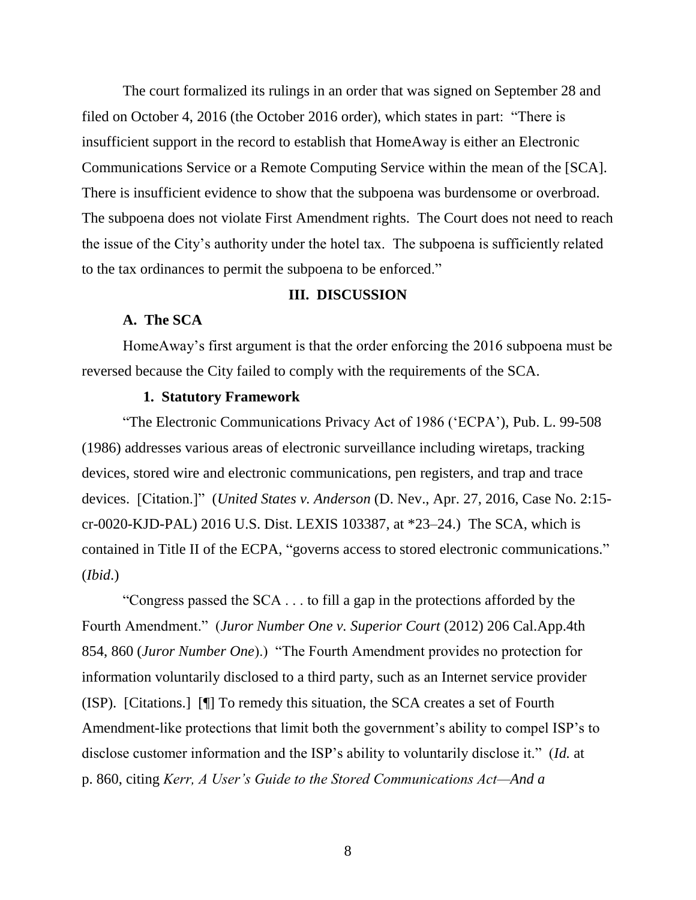The court formalized its rulings in an order that was signed on September 28 and filed on October 4, 2016 (the October 2016 order), which states in part: "There is insufficient support in the record to establish that HomeAway is either an Electronic Communications Service or a Remote Computing Service within the mean of the [SCA]. There is insufficient evidence to show that the subpoena was burdensome or overbroad. The subpoena does not violate First Amendment rights. The Court does not need to reach the issue of the City's authority under the hotel tax. The subpoena is sufficiently related to the tax ordinances to permit the subpoena to be enforced."

## **III. DISCUSSION**

## **A. The SCA**

HomeAway's first argument is that the order enforcing the 2016 subpoena must be reversed because the City failed to comply with the requirements of the SCA.

### **1. Statutory Framework**

"The Electronic Communications Privacy Act of 1986 ('ECPA'), Pub. L. 99-508 (1986) addresses various areas of electronic surveillance including wiretaps, tracking devices, stored wire and electronic communications, pen registers, and trap and trace devices. [Citation.]" (*United States v. Anderson* (D. Nev., Apr. 27, 2016, Case No. 2:15 cr-0020-KJD-PAL) 2016 U.S. Dist. LEXIS 103387, at \*23–24.) The SCA, which is contained in Title II of the ECPA, "governs access to stored electronic communications." (*Ibid*.)

"Congress passed the SCA . . . to fill a gap in the protections afforded by the Fourth Amendment." (*Juror Number One v. Superior Court* (2012) 206 Cal.App.4th 854, 860 (*Juror Number One*).) "The Fourth Amendment provides no protection for information voluntarily disclosed to a third party, such as an Internet service provider (ISP). [Citations.] [¶] To remedy this situation, the SCA creates a set of Fourth Amendment-like protections that limit both the government's ability to compel ISP's to disclose customer information and the ISP's ability to voluntarily disclose it." (*Id.* at p. 860, citing *Kerr, A User's Guide to the Stored Communications Act—And a*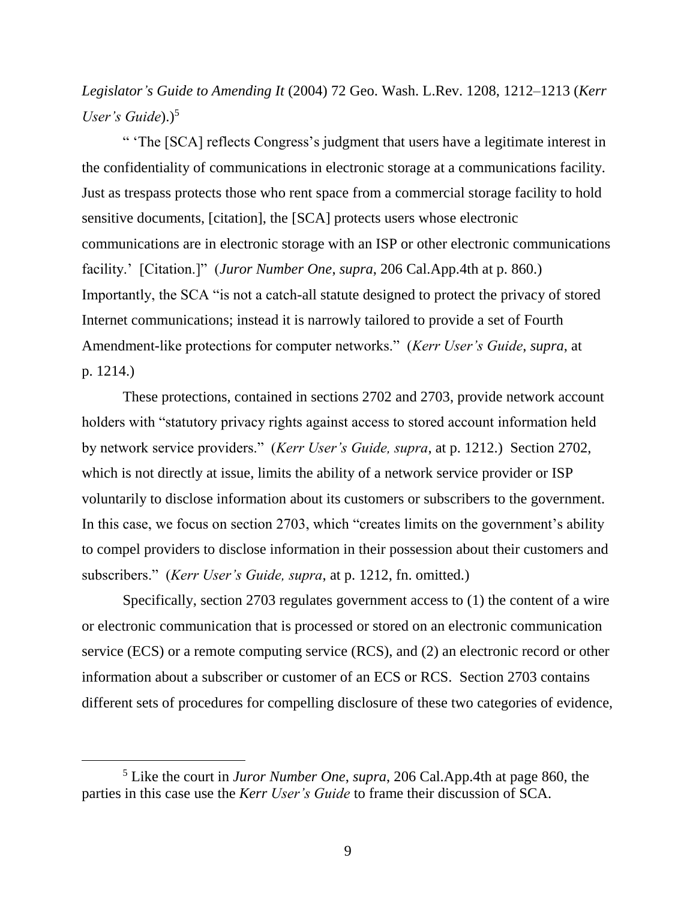*Legislator's Guide to Amending It* (2004) 72 Geo. Wash. L.Rev. 1208, 1212–1213 (*Kerr User's Guide*).)<sup>5</sup>

" 'The [SCA] reflects Congress's judgment that users have a legitimate interest in the confidentiality of communications in electronic storage at a communications facility. Just as trespass protects those who rent space from a commercial storage facility to hold sensitive documents, [citation], the [SCA] protects users whose electronic communications are in electronic storage with an ISP or other electronic communications facility.' [Citation.]" (*Juror Number One*, *supra*, 206 Cal.App.4th at p. 860.) Importantly, the SCA "is not a catch-all statute designed to protect the privacy of stored Internet communications; instead it is narrowly tailored to provide a set of Fourth Amendment-like protections for computer networks." (*Kerr User's Guide*, *supra*, at p. 1214.)

These protections, contained in sections 2702 and 2703, provide network account holders with "statutory privacy rights against access to stored account information held by network service providers." (*Kerr User's Guide, supra*, at p. 1212.) Section 2702, which is not directly at issue, limits the ability of a network service provider or ISP voluntarily to disclose information about its customers or subscribers to the government. In this case, we focus on section 2703, which "creates limits on the government's ability to compel providers to disclose information in their possession about their customers and subscribers." (*Kerr User's Guide, supra*, at p. 1212, fn. omitted.)

Specifically, section 2703 regulates government access to (1) the content of a wire or electronic communication that is processed or stored on an electronic communication service (ECS) or a remote computing service (RCS), and (2) an electronic record or other information about a subscriber or customer of an ECS or RCS. Section 2703 contains different sets of procedures for compelling disclosure of these two categories of evidence,

 $\overline{a}$ 

<sup>5</sup> Like the court in *Juror Number One*, *supra*, 206 Cal.App.4th at page 860, the parties in this case use the *Kerr User's Guide* to frame their discussion of SCA.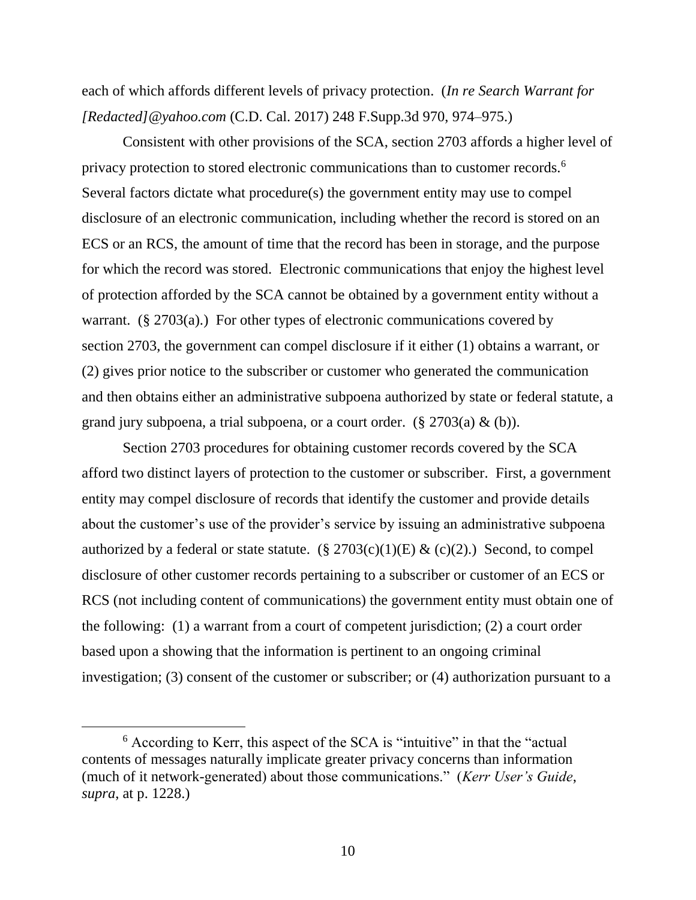each of which affords different levels of privacy protection. (*In re Search Warrant for [Redacted]@yahoo.com* (C.D. Cal. 2017) 248 F.Supp.3d 970, 974–975.)

Consistent with other provisions of the SCA, section 2703 affords a higher level of privacy protection to stored electronic communications than to customer records.<sup>6</sup> Several factors dictate what procedure(s) the government entity may use to compel disclosure of an electronic communication, including whether the record is stored on an ECS or an RCS, the amount of time that the record has been in storage, and the purpose for which the record was stored. Electronic communications that enjoy the highest level of protection afforded by the SCA cannot be obtained by a government entity without a warrant.  $(\S 2703(a))$  For other types of electronic communications covered by section 2703, the government can compel disclosure if it either (1) obtains a warrant, or (2) gives prior notice to the subscriber or customer who generated the communication and then obtains either an administrative subpoena authorized by state or federal statute, a grand jury subpoena, a trial subpoena, or a court order.  $(\S 2703(a) \& (b))$ .

Section 2703 procedures for obtaining customer records covered by the SCA afford two distinct layers of protection to the customer or subscriber. First, a government entity may compel disclosure of records that identify the customer and provide details about the customer's use of the provider's service by issuing an administrative subpoena authorized by a federal or state statute.  $(\S 2703(c)(1)(E) \& (c)(2))$ . Second, to compel disclosure of other customer records pertaining to a subscriber or customer of an ECS or RCS (not including content of communications) the government entity must obtain one of the following: (1) a warrant from a court of competent jurisdiction; (2) a court order based upon a showing that the information is pertinent to an ongoing criminal investigation; (3) consent of the customer or subscriber; or (4) authorization pursuant to a

<sup>6</sup> According to Kerr, this aspect of the SCA is "intuitive" in that the "actual contents of messages naturally implicate greater privacy concerns than information (much of it network-generated) about those communications." (*Kerr User's Guide*, *supra*, at p. 1228.)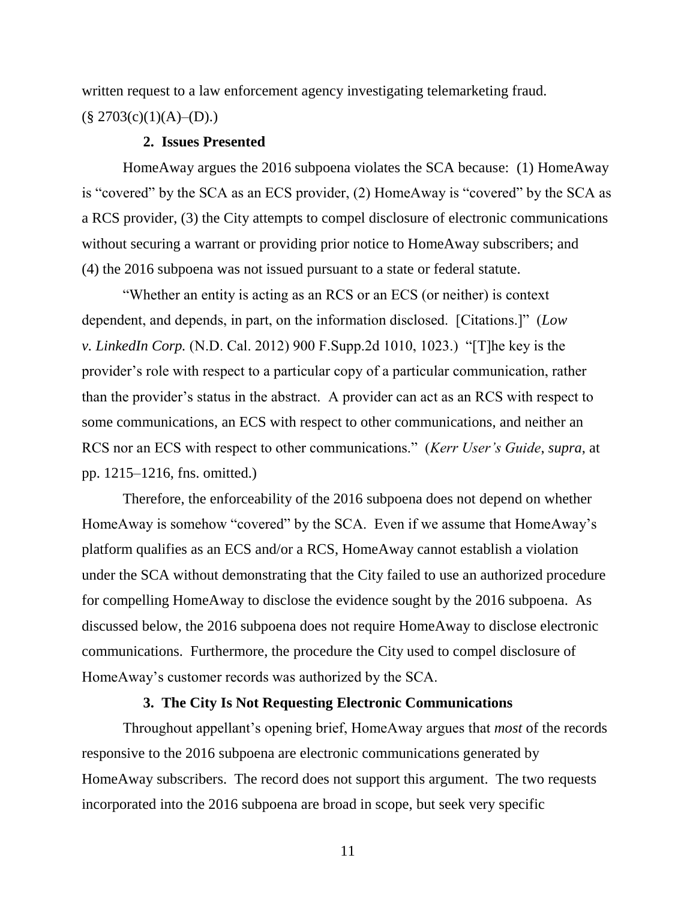written request to a law enforcement agency investigating telemarketing fraud.  $(\S 2703(c)(1)(A)$ –(D).)

### **2. Issues Presented**

HomeAway argues the 2016 subpoena violates the SCA because: (1) HomeAway is "covered" by the SCA as an ECS provider, (2) HomeAway is "covered" by the SCA as a RCS provider, (3) the City attempts to compel disclosure of electronic communications without securing a warrant or providing prior notice to HomeAway subscribers; and (4) the 2016 subpoena was not issued pursuant to a state or federal statute.

"Whether an entity is acting as an RCS or an ECS (or neither) is context dependent, and depends, in part, on the information disclosed. [Citations.]" (*Low v. LinkedIn Corp.* (N.D. Cal. 2012) 900 F.Supp.2d 1010, 1023.) "[T]he key is the provider's role with respect to a particular copy of a particular communication, rather than the provider's status in the abstract. A provider can act as an RCS with respect to some communications, an ECS with respect to other communications, and neither an RCS nor an ECS with respect to other communications." (*Kerr User's Guide*, *supra*, at pp. 1215–1216, fns. omitted.)

Therefore, the enforceability of the 2016 subpoena does not depend on whether HomeAway is somehow "covered" by the SCA. Even if we assume that HomeAway's platform qualifies as an ECS and/or a RCS, HomeAway cannot establish a violation under the SCA without demonstrating that the City failed to use an authorized procedure for compelling HomeAway to disclose the evidence sought by the 2016 subpoena. As discussed below, the 2016 subpoena does not require HomeAway to disclose electronic communications. Furthermore, the procedure the City used to compel disclosure of HomeAway's customer records was authorized by the SCA.

## **3. The City Is Not Requesting Electronic Communications**

Throughout appellant's opening brief, HomeAway argues that *most* of the records responsive to the 2016 subpoena are electronic communications generated by HomeAway subscribers. The record does not support this argument. The two requests incorporated into the 2016 subpoena are broad in scope, but seek very specific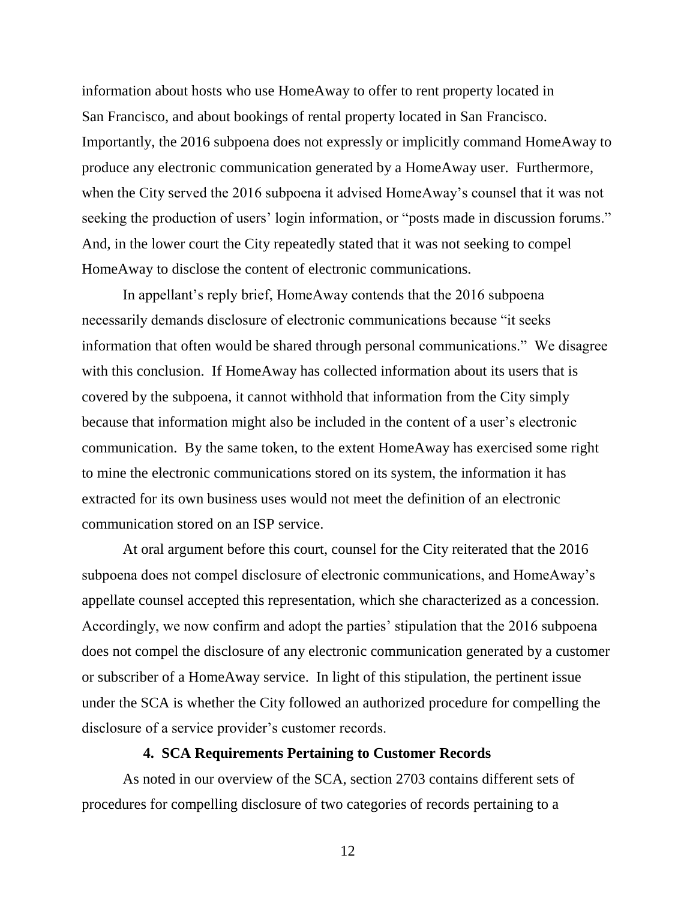information about hosts who use HomeAway to offer to rent property located in San Francisco, and about bookings of rental property located in San Francisco. Importantly, the 2016 subpoena does not expressly or implicitly command HomeAway to produce any electronic communication generated by a HomeAway user. Furthermore, when the City served the 2016 subpoena it advised HomeAway's counsel that it was not seeking the production of users' login information, or "posts made in discussion forums." And, in the lower court the City repeatedly stated that it was not seeking to compel HomeAway to disclose the content of electronic communications.

In appellant's reply brief, HomeAway contends that the 2016 subpoena necessarily demands disclosure of electronic communications because "it seeks information that often would be shared through personal communications." We disagree with this conclusion. If HomeAway has collected information about its users that is covered by the subpoena, it cannot withhold that information from the City simply because that information might also be included in the content of a user's electronic communication. By the same token, to the extent HomeAway has exercised some right to mine the electronic communications stored on its system, the information it has extracted for its own business uses would not meet the definition of an electronic communication stored on an ISP service.

At oral argument before this court, counsel for the City reiterated that the 2016 subpoena does not compel disclosure of electronic communications, and HomeAway's appellate counsel accepted this representation, which she characterized as a concession. Accordingly, we now confirm and adopt the parties' stipulation that the 2016 subpoena does not compel the disclosure of any electronic communication generated by a customer or subscriber of a HomeAway service. In light of this stipulation, the pertinent issue under the SCA is whether the City followed an authorized procedure for compelling the disclosure of a service provider's customer records.

### **4. SCA Requirements Pertaining to Customer Records**

As noted in our overview of the SCA, section 2703 contains different sets of procedures for compelling disclosure of two categories of records pertaining to a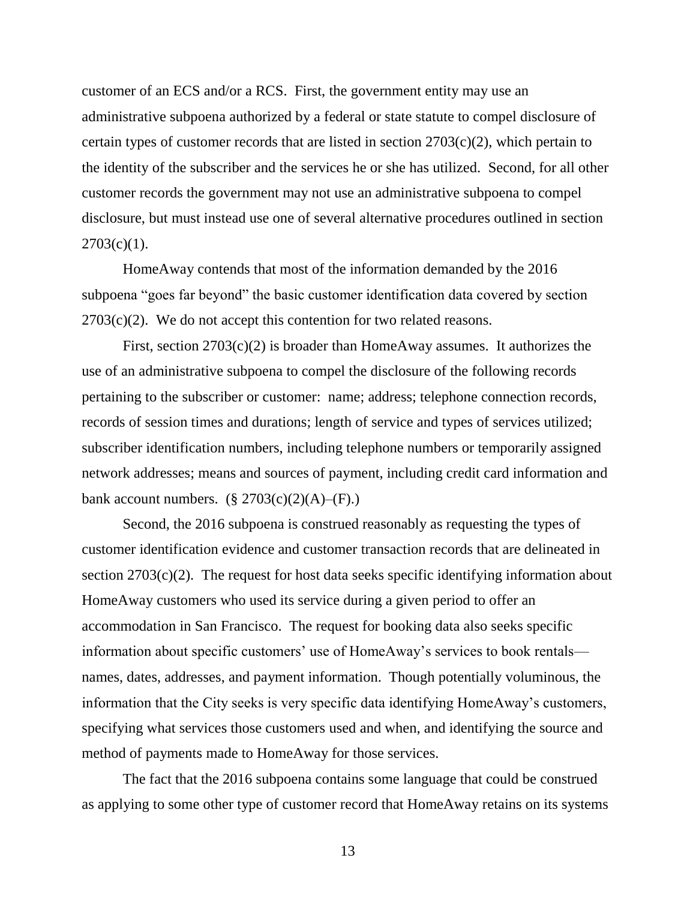customer of an ECS and/or a RCS. First, the government entity may use an administrative subpoena authorized by a federal or state statute to compel disclosure of certain types of customer records that are listed in section 2703(c)(2), which pertain to the identity of the subscriber and the services he or she has utilized. Second, for all other customer records the government may not use an administrative subpoena to compel disclosure, but must instead use one of several alternative procedures outlined in section  $2703(c)(1)$ .

HomeAway contends that most of the information demanded by the 2016 subpoena "goes far beyond" the basic customer identification data covered by section  $2703(c)(2)$ . We do not accept this contention for two related reasons.

First, section 2703(c)(2) is broader than HomeAway assumes. It authorizes the use of an administrative subpoena to compel the disclosure of the following records pertaining to the subscriber or customer: name; address; telephone connection records, records of session times and durations; length of service and types of services utilized; subscriber identification numbers, including telephone numbers or temporarily assigned network addresses; means and sources of payment, including credit card information and bank account numbers.  $(\S 2703(c)(2)(A)$ –(F).)

Second, the 2016 subpoena is construed reasonably as requesting the types of customer identification evidence and customer transaction records that are delineated in section  $2703(c)(2)$ . The request for host data seeks specific identifying information about HomeAway customers who used its service during a given period to offer an accommodation in San Francisco. The request for booking data also seeks specific information about specific customers' use of HomeAway's services to book rentals names, dates, addresses, and payment information. Though potentially voluminous, the information that the City seeks is very specific data identifying HomeAway's customers, specifying what services those customers used and when, and identifying the source and method of payments made to HomeAway for those services.

The fact that the 2016 subpoena contains some language that could be construed as applying to some other type of customer record that HomeAway retains on its systems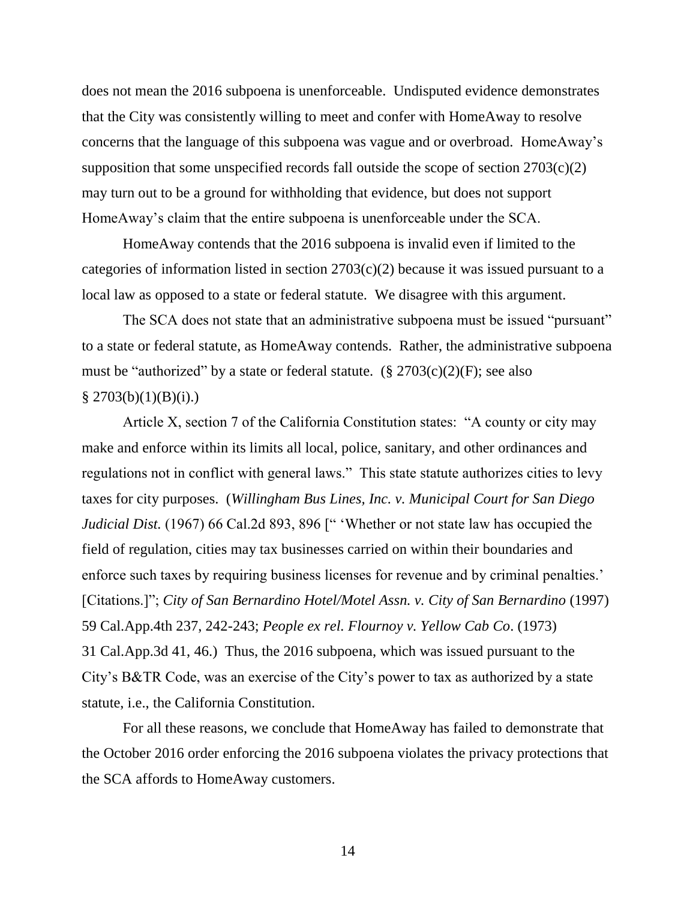does not mean the 2016 subpoena is unenforceable. Undisputed evidence demonstrates that the City was consistently willing to meet and confer with HomeAway to resolve concerns that the language of this subpoena was vague and or overbroad. HomeAway's supposition that some unspecified records fall outside the scope of section  $2703(c)(2)$ may turn out to be a ground for withholding that evidence, but does not support HomeAway's claim that the entire subpoena is unenforceable under the SCA.

HomeAway contends that the 2016 subpoena is invalid even if limited to the categories of information listed in section 2703(c)(2) because it was issued pursuant to a local law as opposed to a state or federal statute. We disagree with this argument.

The SCA does not state that an administrative subpoena must be issued "pursuant" to a state or federal statute, as HomeAway contends. Rather, the administrative subpoena must be "authorized" by a state or federal statute.  $(\S 2703(c)(2)(F))$ ; see also  $§$  2703(b)(1)(B)(i).)

Article X, section 7 of the California Constitution states: "A county or city may make and enforce within its limits all local, police, sanitary, and other ordinances and regulations not in conflict with general laws." This state statute authorizes cities to levy taxes for city purposes. (*Willingham Bus Lines, Inc. v. Municipal Court for San Diego Judicial Dist.* (1967) 66 Cal.2d 893, 896 [" 'Whether or not state law has occupied the field of regulation, cities may tax businesses carried on within their boundaries and enforce such taxes by requiring business licenses for revenue and by criminal penalties.' [Citations.]"; *City of San Bernardino Hotel/Motel Assn. v. City of San Bernardino* (1997) 59 Cal.App.4th 237, 242-243; *People ex rel. Flournoy v. Yellow Cab Co*. (1973) 31 Cal.App.3d 41, 46.) Thus, the 2016 subpoena, which was issued pursuant to the City's B&TR Code, was an exercise of the City's power to tax as authorized by a state statute, i.e., the California Constitution.

For all these reasons, we conclude that HomeAway has failed to demonstrate that the October 2016 order enforcing the 2016 subpoena violates the privacy protections that the SCA affords to HomeAway customers.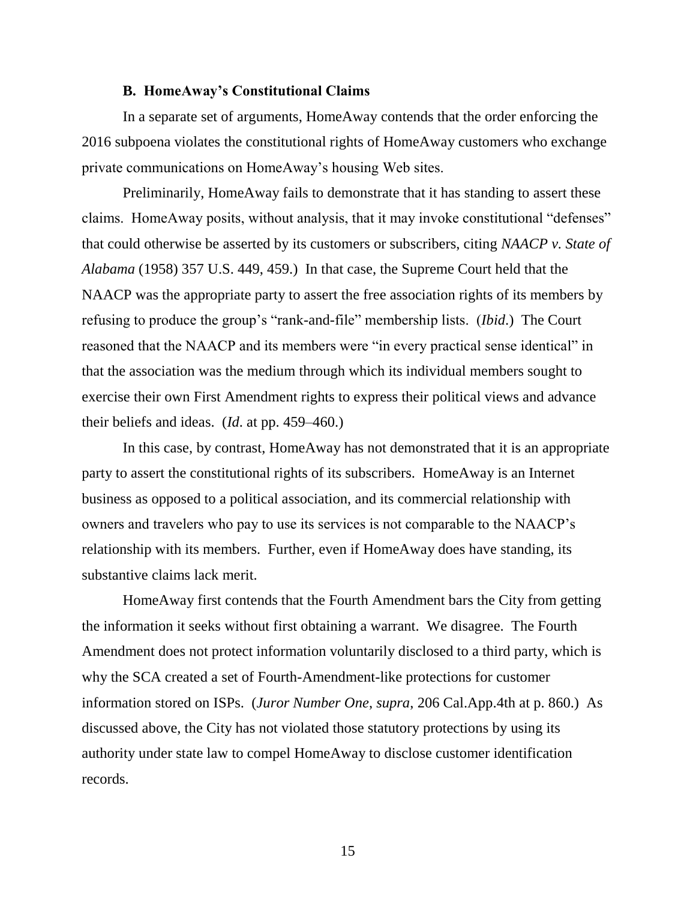### **B. HomeAway's Constitutional Claims**

In a separate set of arguments, HomeAway contends that the order enforcing the 2016 subpoena violates the constitutional rights of HomeAway customers who exchange private communications on HomeAway's housing Web sites.

Preliminarily, HomeAway fails to demonstrate that it has standing to assert these claims. HomeAway posits, without analysis, that it may invoke constitutional "defenses" that could otherwise be asserted by its customers or subscribers, citing *NAACP v. State of Alabama* (1958) 357 U.S. 449, 459.) In that case, the Supreme Court held that the NAACP was the appropriate party to assert the free association rights of its members by refusing to produce the group's "rank-and-file" membership lists. (*Ibid*.) The Court reasoned that the NAACP and its members were "in every practical sense identical" in that the association was the medium through which its individual members sought to exercise their own First Amendment rights to express their political views and advance their beliefs and ideas. (*Id*. at pp. 459–460.)

In this case, by contrast, HomeAway has not demonstrated that it is an appropriate party to assert the constitutional rights of its subscribers. HomeAway is an Internet business as opposed to a political association, and its commercial relationship with owners and travelers who pay to use its services is not comparable to the NAACP's relationship with its members. Further, even if HomeAway does have standing, its substantive claims lack merit.

HomeAway first contends that the Fourth Amendment bars the City from getting the information it seeks without first obtaining a warrant. We disagree. The Fourth Amendment does not protect information voluntarily disclosed to a third party, which is why the SCA created a set of Fourth-Amendment-like protections for customer information stored on ISPs. (*Juror Number One*, *supra*, 206 Cal.App.4th at p. 860.) As discussed above, the City has not violated those statutory protections by using its authority under state law to compel HomeAway to disclose customer identification records.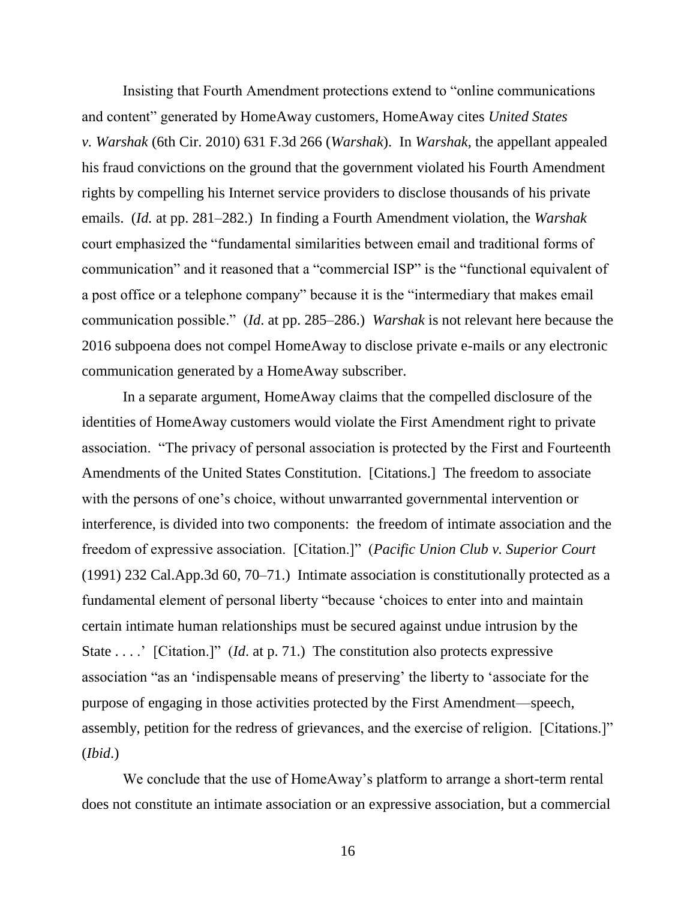Insisting that Fourth Amendment protections extend to "online communications and content" generated by HomeAway customers, HomeAway cites *United States v. Warshak* (6th Cir. 2010) 631 F.3d 266 (*Warshak*). In *Warshak*, the appellant appealed his fraud convictions on the ground that the government violated his Fourth Amendment rights by compelling his Internet service providers to disclose thousands of his private emails. (*Id.* at pp. 281–282.) In finding a Fourth Amendment violation, the *Warshak* court emphasized the "fundamental similarities between email and traditional forms of communication" and it reasoned that a "commercial ISP" is the "functional equivalent of a post office or a telephone company" because it is the "intermediary that makes email communication possible." (*Id*. at pp. 285–286.) *Warshak* is not relevant here because the 2016 subpoena does not compel HomeAway to disclose private e-mails or any electronic communication generated by a HomeAway subscriber.

In a separate argument, HomeAway claims that the compelled disclosure of the identities of HomeAway customers would violate the First Amendment right to private association. "The privacy of personal association is protected by the First and Fourteenth Amendments of the United States Constitution. [Citations.] The freedom to associate with the persons of one's choice, without unwarranted governmental intervention or interference, is divided into two components: the freedom of intimate association and the freedom of expressive association. [Citation.]" (*Pacific Union Club v. Superior Court* (1991) 232 Cal.App.3d 60, 70–71.) Intimate association is constitutionally protected as a fundamental element of personal liberty "because 'choices to enter into and maintain certain intimate human relationships must be secured against undue intrusion by the State . . . . <sup>\*</sup> [Citation.]" (*Id.* at p. 71.) The constitution also protects expressive association "as an 'indispensable means of preserving' the liberty to 'associate for the purpose of engaging in those activities protected by the First Amendment—speech, assembly, petition for the redress of grievances, and the exercise of religion. [Citations.]" (*Ibid*.)

We conclude that the use of HomeAway's platform to arrange a short-term rental does not constitute an intimate association or an expressive association, but a commercial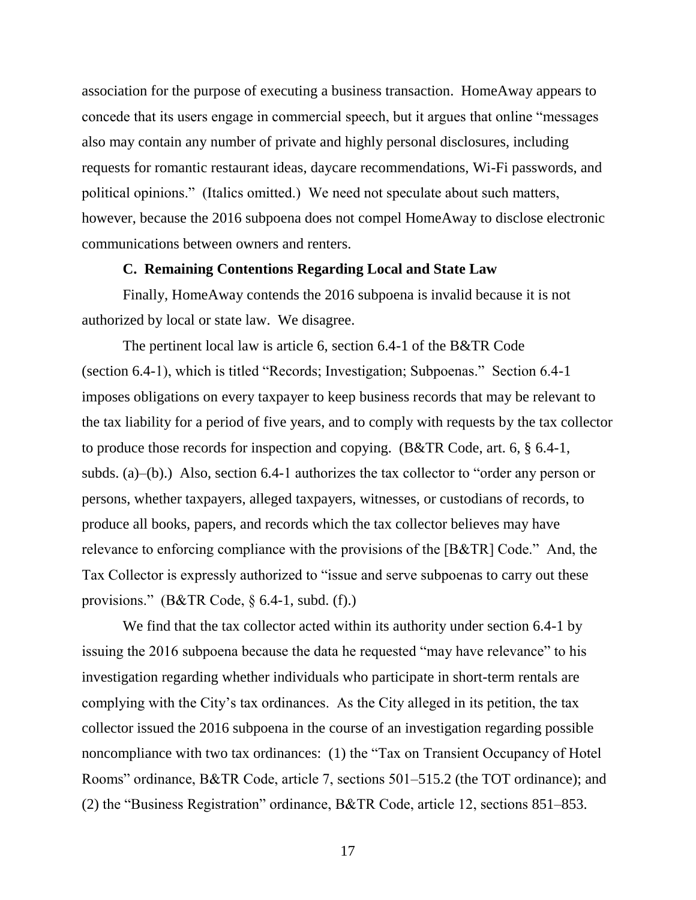association for the purpose of executing a business transaction. HomeAway appears to concede that its users engage in commercial speech, but it argues that online "messages also may contain any number of private and highly personal disclosures, including requests for romantic restaurant ideas, daycare recommendations, Wi-Fi passwords, and political opinions." (Italics omitted.) We need not speculate about such matters, however, because the 2016 subpoena does not compel HomeAway to disclose electronic communications between owners and renters.

## **C. Remaining Contentions Regarding Local and State Law**

Finally, HomeAway contends the 2016 subpoena is invalid because it is not authorized by local or state law. We disagree.

The pertinent local law is article 6, section 6.4-1 of the B&TR Code (section 6.4-1), which is titled "Records; Investigation; Subpoenas." Section 6.4-1 imposes obligations on every taxpayer to keep business records that may be relevant to the tax liability for a period of five years, and to comply with requests by the tax collector to produce those records for inspection and copying. (B&TR Code, art. 6, § 6.4-1, subds. (a)–(b).) Also, section 6.4-1 authorizes the tax collector to "order any person or persons, whether taxpayers, alleged taxpayers, witnesses, or custodians of records, to produce all books, papers, and records which the tax collector believes may have relevance to enforcing compliance with the provisions of the [B&TR] Code." And, the Tax Collector is expressly authorized to "issue and serve subpoenas to carry out these provisions." (B&TR Code, § 6.4-1, subd. (f).)

We find that the tax collector acted within its authority under section 6.4-1 by issuing the 2016 subpoena because the data he requested "may have relevance" to his investigation regarding whether individuals who participate in short-term rentals are complying with the City's tax ordinances. As the City alleged in its petition, the tax collector issued the 2016 subpoena in the course of an investigation regarding possible noncompliance with two tax ordinances: (1) the "Tax on Transient Occupancy of Hotel Rooms" ordinance, B&TR Code, article 7, sections 501–515.2 (the TOT ordinance); and (2) the "Business Registration" ordinance, B&TR Code, article 12, sections 851–853.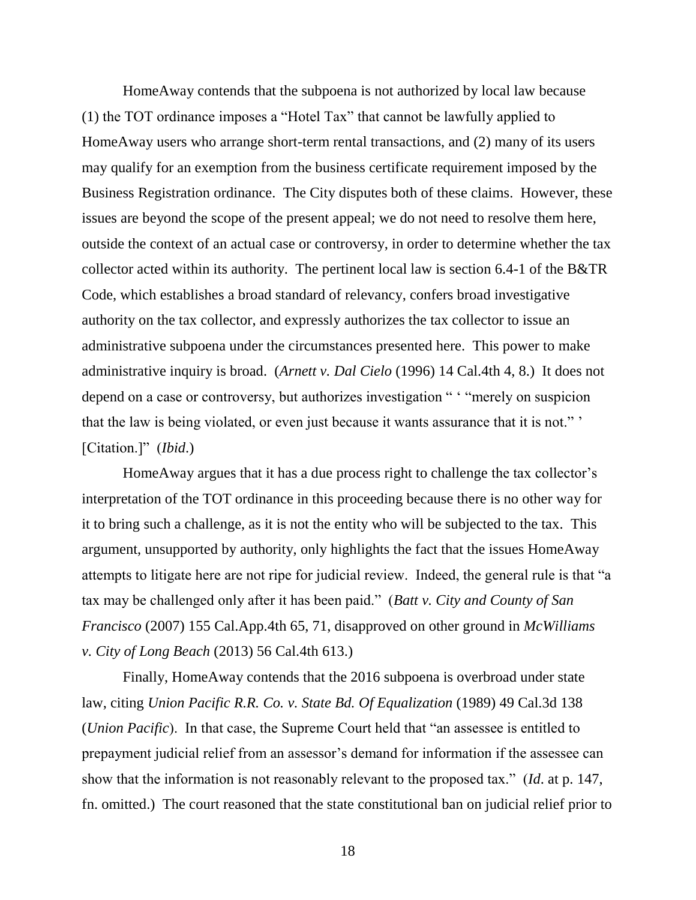HomeAway contends that the subpoena is not authorized by local law because (1) the TOT ordinance imposes a "Hotel Tax" that cannot be lawfully applied to HomeAway users who arrange short-term rental transactions, and (2) many of its users may qualify for an exemption from the business certificate requirement imposed by the Business Registration ordinance. The City disputes both of these claims. However, these issues are beyond the scope of the present appeal; we do not need to resolve them here, outside the context of an actual case or controversy, in order to determine whether the tax collector acted within its authority. The pertinent local law is section 6.4-1 of the B&TR Code, which establishes a broad standard of relevancy, confers broad investigative authority on the tax collector, and expressly authorizes the tax collector to issue an administrative subpoena under the circumstances presented here. This power to make administrative inquiry is broad. (*Arnett v. Dal Cielo* (1996) 14 Cal.4th 4, 8.) It does not depend on a case or controversy, but authorizes investigation " ' "merely on suspicion that the law is being violated, or even just because it wants assurance that it is not." ' [Citation.]" (*Ibid*.)

HomeAway argues that it has a due process right to challenge the tax collector's interpretation of the TOT ordinance in this proceeding because there is no other way for it to bring such a challenge, as it is not the entity who will be subjected to the tax. This argument, unsupported by authority, only highlights the fact that the issues HomeAway attempts to litigate here are not ripe for judicial review. Indeed, the general rule is that "a tax may be challenged only after it has been paid." (*Batt v. City and County of San Francisco* (2007) 155 Cal.App.4th 65, 71, disapproved on other ground in *McWilliams v. City of Long Beach* (2013) 56 Cal.4th 613.)

Finally, HomeAway contends that the 2016 subpoena is overbroad under state law, citing *Union Pacific R.R. Co. v. State Bd. Of Equalization* (1989) 49 Cal.3d 138 (*Union Pacific*). In that case, the Supreme Court held that "an assessee is entitled to prepayment judicial relief from an assessor's demand for information if the assessee can show that the information is not reasonably relevant to the proposed tax." (*Id*. at p. 147, fn. omitted.) The court reasoned that the state constitutional ban on judicial relief prior to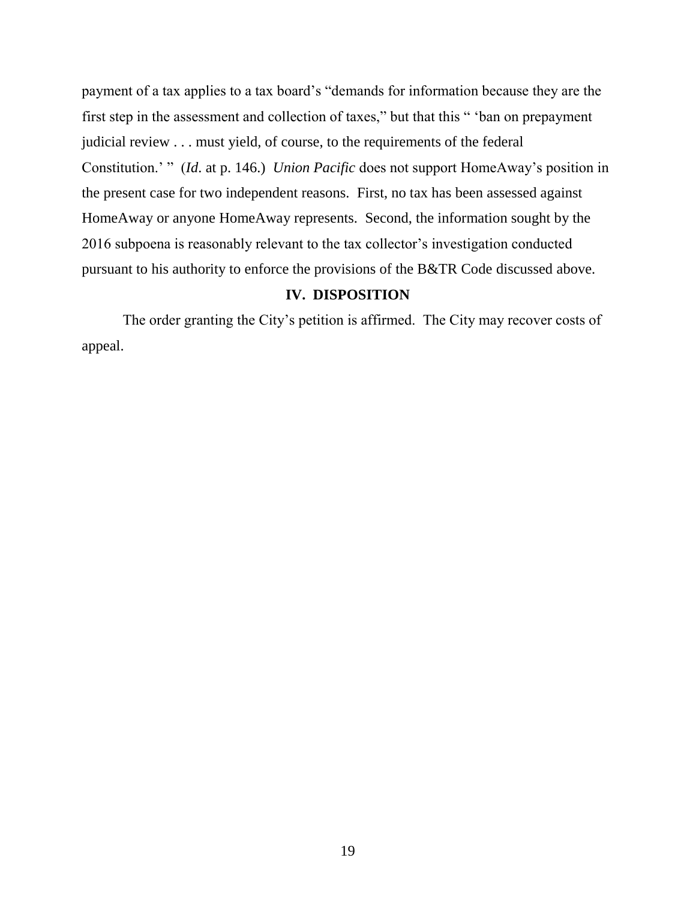payment of a tax applies to a tax board's "demands for information because they are the first step in the assessment and collection of taxes," but that this " 'ban on prepayment judicial review . . . must yield, of course, to the requirements of the federal Constitution.' " (*Id*. at p. 146.) *Union Pacific* does not support HomeAway's position in the present case for two independent reasons. First, no tax has been assessed against HomeAway or anyone HomeAway represents. Second, the information sought by the 2016 subpoena is reasonably relevant to the tax collector's investigation conducted pursuant to his authority to enforce the provisions of the B&TR Code discussed above.

# **IV. DISPOSITION**

The order granting the City's petition is affirmed. The City may recover costs of appeal.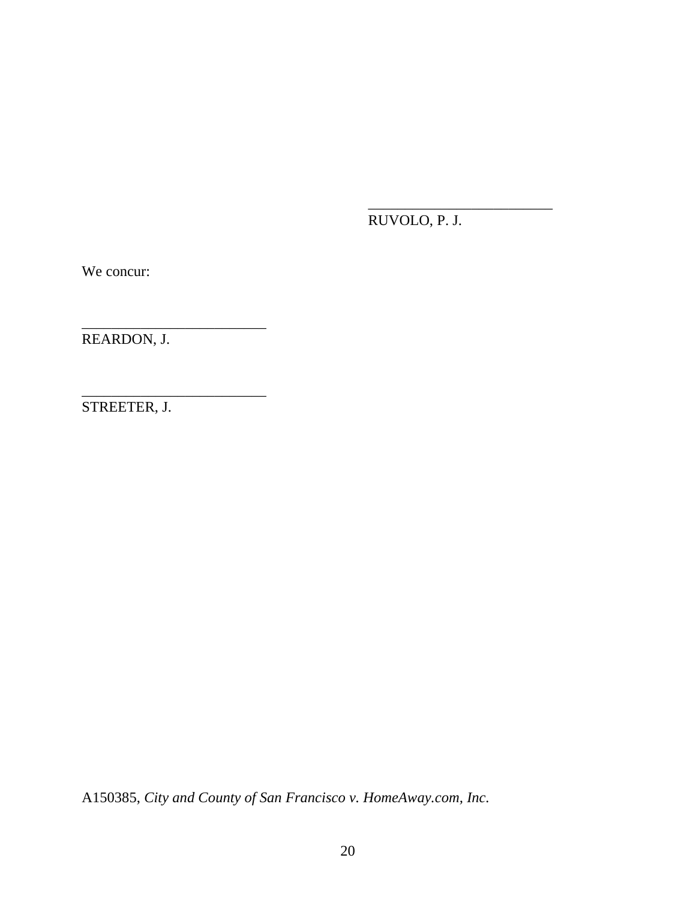RUVOLO, P. J.

\_\_\_\_\_\_\_\_\_\_\_\_\_\_\_\_\_\_\_\_\_\_\_\_\_

We concur:

REARDON, J.

\_\_\_\_\_\_\_\_\_\_\_\_\_\_\_\_\_\_\_\_\_\_\_\_\_

\_\_\_\_\_\_\_\_\_\_\_\_\_\_\_\_\_\_\_\_\_\_\_\_\_

STREETER, J.

A150385, *City and County of San Francisco v. HomeAway.com, Inc.*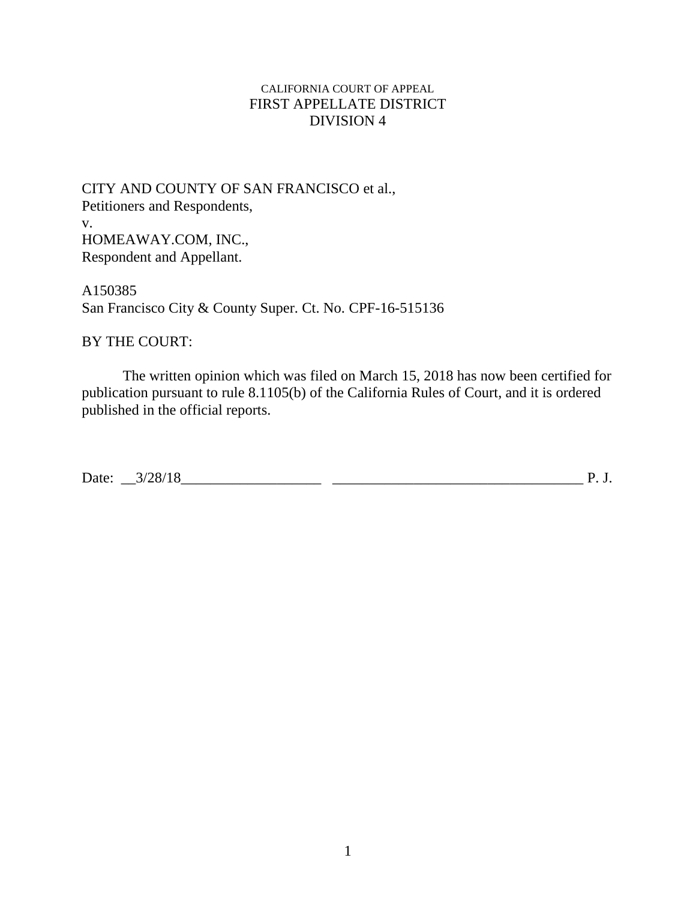# CALIFORNIA COURT OF APPEAL FIRST APPELLATE DISTRICT DIVISION 4

CITY AND COUNTY OF SAN FRANCISCO et al., Petitioners and Respondents, v. HOMEAWAY.COM, INC., Respondent and Appellant.

A150385 San Francisco City & County Super. Ct. No. CPF-16-515136

# BY THE COURT:

The written opinion which was filed on March 15, 2018 has now been certified for publication pursuant to rule 8.1105(b) of the California Rules of Court, and it is ordered published in the official reports.

Date: \_\_3/28/18\_\_\_\_\_\_\_\_\_\_\_\_\_\_\_\_\_\_\_ \_\_\_\_\_\_\_\_\_\_\_\_\_\_\_\_\_\_\_\_\_\_\_\_\_\_\_\_\_\_\_\_\_\_ P. J.